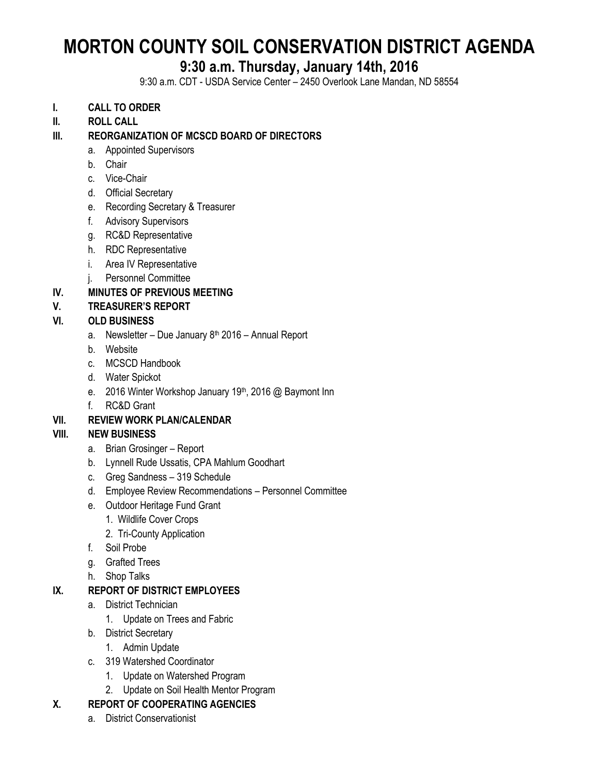# **MORTON COUNTY SOIL CONSERVATION DISTRICT AGENDA**

# **9:30 a.m. Thursday, January 14th, 2016**

9:30 a.m. CDT - USDA Service Center – 2450 Overlook Lane Mandan, ND 58554

- **I. CALL TO ORDER**
- **II. ROLL CALL**

# **III. REORGANIZATION OF MCSCD BOARD OF DIRECTORS**

- a. Appointed Supervisors
- b. Chair
- c. Vice-Chair
- d. Official Secretary
- e. Recording Secretary & Treasurer
- f. Advisory Supervisors
- g. RC&D Representative
- h. RDC Representative
- i. Area IV Representative
- j. Personnel Committee

# **IV. MINUTES OF PREVIOUS MEETING**

# **V. TREASURER'S REPORT**

#### **VI. OLD BUSINESS**

- a. Newsletter Due January  $8<sup>th</sup>$  2016 Annual Report
- b. Website
- c. MCSCD Handbook
- d. Water Spickot
- e. 2016 Winter Workshop January 19<sup>th</sup>, 2016 @ Baymont Inn
- f. RC&D Grant

# **VII. REVIEW WORK PLAN/CALENDAR**

# **VIII. NEW BUSINESS**

- a. Brian Grosinger Report
- b. Lynnell Rude Ussatis, CPA Mahlum Goodhart
- c. Greg Sandness 319 Schedule
- d. Employee Review Recommendations Personnel Committee
- e. Outdoor Heritage Fund Grant
	- 1. Wildlife Cover Crops
	- 2. Tri-County Application
- f. Soil Probe
- g. Grafted Trees
- h. Shop Talks

# **IX. REPORT OF DISTRICT EMPLOYEES**

- a. District Technician
	- 1. Update on Trees and Fabric
- b. District Secretary
	- 1. Admin Update
- c. 319 Watershed Coordinator
	- 1. Update on Watershed Program
	- 2. Update on Soil Health Mentor Program

# **X. REPORT OF COOPERATING AGENCIES**

a. District Conservationist